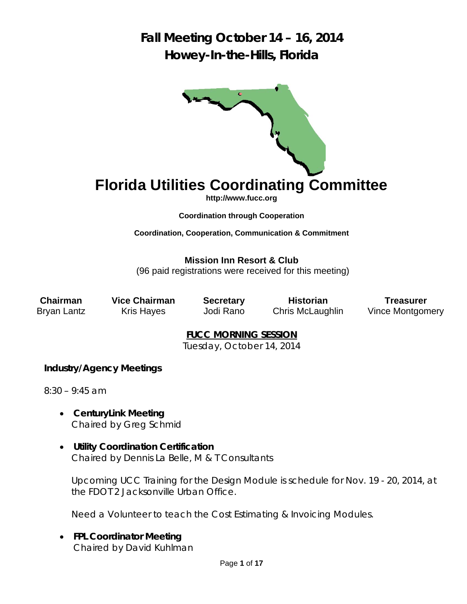

# **Florida Utilities Coordinating Committee**

**http://www.fucc.org**

**Coordination through Cooperation** 

**Coordination, Cooperation, Communication & Commitment** 

**Mission Inn Resort & Club**

(96 paid registrations were received for this meeting)

**Chairman Vice Chairman Secretary Historian Treasurer** 

Bryan Lantz Kris Hayes Jodi Rano Chris McLaughlin Vince Montgomery

**FUCC MORNING SESSION** 

Tuesday, October 14, 2014

## **Industry/Agency Meetings**

8:30 – 9:45 am

- **CenturyLink Meeting**  *Chaired by Greg Schmid*
- **Utility Coordination Certification** *Chaired by Dennis La Belle, M & T Consultants*

Upcoming UCC Training for the Design Module is schedule for Nov. 19 - 20, 2014, at the FDOT 2 Jacksonville Urban Office.

Need a Volunteer to teach the Cost Estimating & Invoicing Modules.

 **FPL Coordinator Meeting**  *Chaired by David Kuhlman*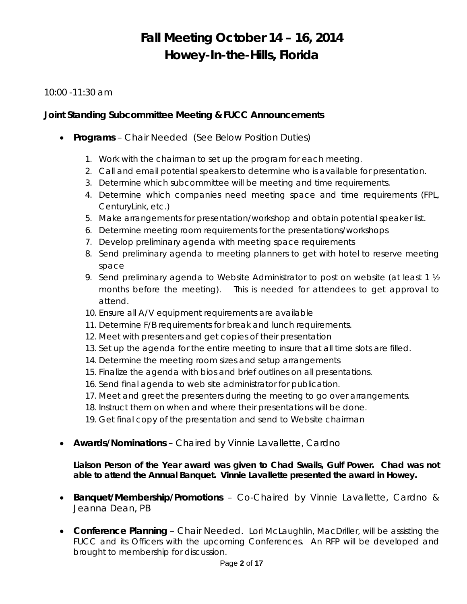### 10:00 -11:30 am

### **Joint Standing Subcommittee Meeting & FUCC Announcements**

- **Programs** *Chair Needed* (See Below Position Duties)
	- 1. Work with the chairman to set up the program for each meeting.
	- 2. Call and email potential speakers to determine who is available for presentation.
	- 3. Determine which subcommittee will be meeting and time requirements.
	- 4. Determine which companies need meeting space and time requirements (FPL, CenturyLink, etc.)
	- 5. Make arrangements for presentation/workshop and obtain potential speaker list.
	- 6. Determine meeting room requirements for the presentations/workshops
	- 7. Develop preliminary agenda with meeting space requirements
	- 8. Send preliminary agenda to meeting planners to get with hotel to reserve meeting space
	- 9. Send preliminary agenda to Website Administrator to post on website (at least 1  $\frac{1}{2}$ ) months before the meeting). This is needed for attendees to get approval to attend.
	- 10. Ensure all A/V equipment requirements are available
	- 11. Determine F/B requirements for break and lunch requirements.
	- 12. Meet with presenters and get copies of their presentation
	- 13. Set up the agenda for the entire meeting to insure that all time slots are filled.
	- 14. Determine the meeting room sizes and setup arrangements
	- 15. Finalize the agenda with bios and brief outlines on all presentations.
	- 16. Send final agenda to web site administrator for publication.
	- 17. Meet and greet the presenters during the meeting to go over arrangements.
	- 18. Instruct them on when and where their presentations will be done.
	- 19. Get final copy of the presentation and send to Website chairman
- **Awards/Nominations** *Chaired by Vinnie Lavallette, Cardno*

### *Liaison Person of the Year award was given to Chad Swails, Gulf Power. Chad was not able to attend the Annual Banquet. Vinnie Lavallette presented the award in Howey.*

- **Banquet/Membership/Promotions** *Co-Chaired by Vinnie Lavallette, Cardno & Jeanna Dean, PB*
- **Conference Planning** *Chair Needed*. *Lori McLaughlin, MacDriller, will be assisting the*  FUCC and its Officers with the upcoming Conferences. An RFP will be developed and *brought to membership for discussion*.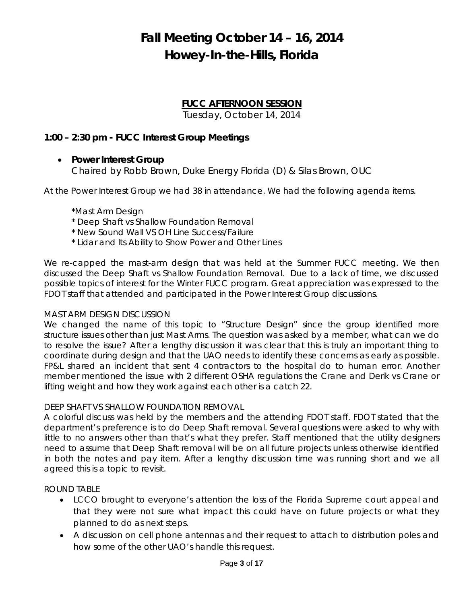## **FUCC AFTERNOON SESSION**

Tuesday, October 14, 2014

## **1:00 – 2:30 pm - FUCC Interest Group Meetings**

**Power Interest Group** 

*Chaired by Robb Brown, Duke Energy Florida (D) & Silas Brown, OUC* 

At the Power Interest Group we had 38 in attendance. We had the following agenda items.

\*Mast Arm Design

- \* Deep Shaft vs Shallow Foundation Removal
- \* New Sound Wall VS OH Line Success/Failure
- \* Lidar and Its Ability to Show Power and Other Lines

We re-capped the mast-arm design that was held at the Summer FUCC meeting. We then discussed the Deep Shaft vs Shallow Foundation Removal. Due to a lack of time, we discussed possible topics of interest for the Winter FUCC program. Great appreciation was expressed to the FDOT staff that attended and participated in the Power Interest Group discussions.

### MAST ARM DESIGN DISCUSSION

We changed the name of this topic to "Structure Design" since the group identified more structure issues other than just Mast Arms. The question was asked by a member, what can we do to resolve the issue? After a lengthy discussion it was clear that this is truly an important thing to coordinate during design and that the UAO needs to identify these concerns as early as possible. FP&L shared an incident that sent 4 contractors to the hospital do to human error. Another member mentioned the issue with 2 different OSHA regulations the Crane and Derik vs Crane or lifting weight and how they work against each other is a catch 22.

### DEEP SHAFT VS SHALLOW FOUNDATION REMOVAL

A colorful discuss was held by the members and the attending FDOT staff. FDOT stated that the department's preference is to do Deep Shaft removal. Several questions were asked to why with little to no answers other than that's what they prefer. Staff mentioned that the utility designers need to assume that Deep Shaft removal will be on all future projects unless otherwise identified in both the notes and pay item. After a lengthy discussion time was running short and we all agreed this is a topic to revisit.

ROUND TABLE

- LCCO brought to everyone's attention the loss of the Florida Supreme court appeal and that they were not sure what impact this could have on future projects or what they planned to do as next steps.
- A discussion on cell phone antennas and their request to attach to distribution poles and how some of the other UAO's handle this request.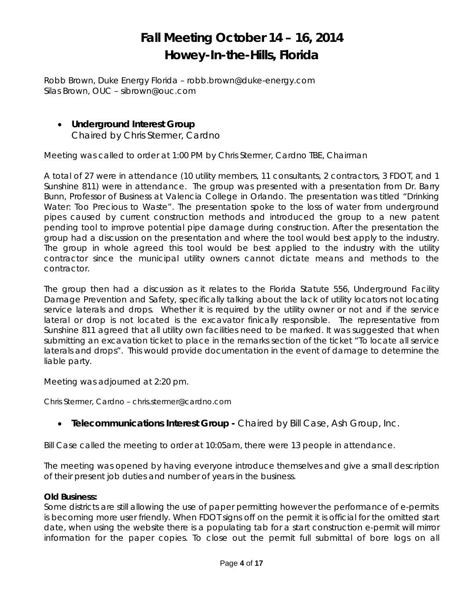*Robb Brown, Duke Energy Florida – robb.brown@duke-energy.com Silas Brown, OUC – sibrown@ouc.com* 

 **Underground Interest Group**  *Chaired by Chris Stermer, Cardno* 

Meeting was called to order at 1:00 PM by Chris Stermer, Cardno TBE, Chairman

A total of 27 were in attendance (10 utility members, 11 consultants, 2 contractors, 3 FDOT, and 1 Sunshine 811) were in attendance. The group was presented with a presentation from Dr. Barry Bunn, Professor of Business at Valencia College in Orlando. The presentation was titled "Drinking Water: Too Precious to Waste". The presentation spoke to the loss of water from underground pipes caused by current construction methods and introduced the group to a new patent pending tool to improve potential pipe damage during construction. After the presentation the group had a discussion on the presentation and where the tool would best apply to the industry. The group in whole agreed this tool would be best applied to the industry with the utility contractor since the municipal utility owners cannot dictate means and methods to the contractor.

The group then had a discussion as it relates to the Florida Statute 556, Underground Facility Damage Prevention and Safety, specifically talking about the lack of utility locators not locating service laterals and drops. Whether it is required by the utility owner or not and if the service lateral or drop is not located is the excavator finically responsible. The representative from Sunshine 811 agreed that all utility own facilities need to be marked. It was suggested that when submitting an excavation ticket to place in the remarks section of the ticket "To locate all service laterals and drops". This would provide documentation in the event of damage to determine the liable party.

Meeting was adjourned at 2:20 pm.

*Chris Stermer, Cardno – chris.stermer@cardno.com* 

## **Telecommunications Interest Group -** *Chaired by Bill Case, Ash Group, Inc.*

Bill Case called the meeting to order at 10:05am, there were 13 people in attendance.

The meeting was opened by having everyone introduce themselves and give a small description of their present job duties and number of years in the business.

### **Old Business:**

Some districts are still allowing the use of paper permitting however the performance of e-permits is becoming more user friendly. When FDOT signs off on the permit it is official for the omitted start date, when using the website there is a populating tab for a start construction e-permit will mirror information for the paper copies. To close out the permit full submittal of bore logs on all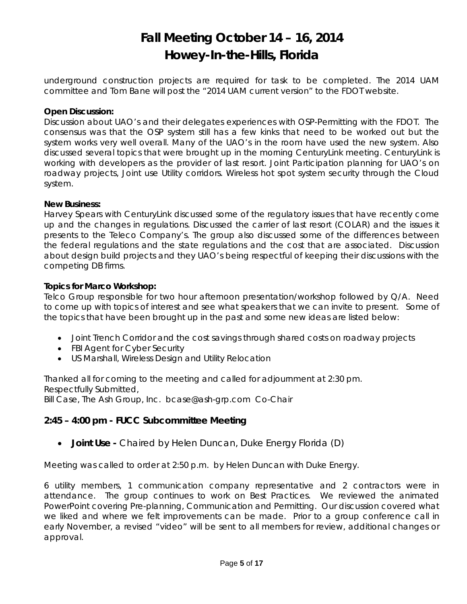underground construction projects are required for task to be completed. The 2014 UAM committee and Tom Bane will post the "2014 UAM current version" to the FDOT website.

### **Open Discussion:**

Discussion about UAO's and their delegates experiences with OSP-Permitting with the FDOT. The consensus was that the OSP system still has a few kinks that need to be worked out but the system works very well overall. Many of the UAO's in the room have used the new system. Also discussed several topics that were brought up in the morning CenturyLink meeting. CenturyLink is working with developers as the provider of last resort. Joint Participation planning for UAO's on roadway projects, Joint use Utility corridors. Wireless hot spot system security through the Cloud system.

### **New Business:**

Harvey Spears with CenturyLink discussed some of the regulatory issues that have recently come up and the changes in regulations. Discussed the carrier of last resort (COLAR) and the issues it presents to the Teleco Company's. The group also discussed some of the differences between the federal regulations and the state regulations and the cost that are associated. Discussion about design build projects and they UAO's being respectful of keeping their discussions with the competing DB firms.

### **Topics for Marco Workshop:**

Telco Group responsible for two hour afternoon presentation/workshop followed by Q/A. Need to come up with topics of interest and see what speakers that we can invite to present. Some of the topics that have been brought up in the past and some new ideas are listed below:

- Joint Trench Corridor and the cost savings through shared costs on roadway projects
- FBI Agent for Cyber Security
- US Marshall, Wireless Design and Utility Relocation

Thanked all for coming to the meeting and called for adjournment at 2:30 pm. Respectfully Submitted,

*Bill Case, The Ash Group, Inc. bcase@ash-grp.com Co-Chair* 

### **2:45 – 4:00 pm - FUCC Subcommittee Meeting**

**Joint Use -** *Chaired by Helen Duncan, Duke Energy Florida (D)*

Meeting was called to order at 2:50 p.m. by Helen Duncan with Duke Energy.

6 utility members, 1 communication company representative and 2 contractors were in attendance. The group continues to work on Best Practices. We reviewed the animated PowerPoint covering Pre-planning, Communication and Permitting. Our discussion covered what we liked and where we felt improvements can be made. Prior to a group conference call in early November, a revised "video" will be sent to all members for review, additional changes or approval.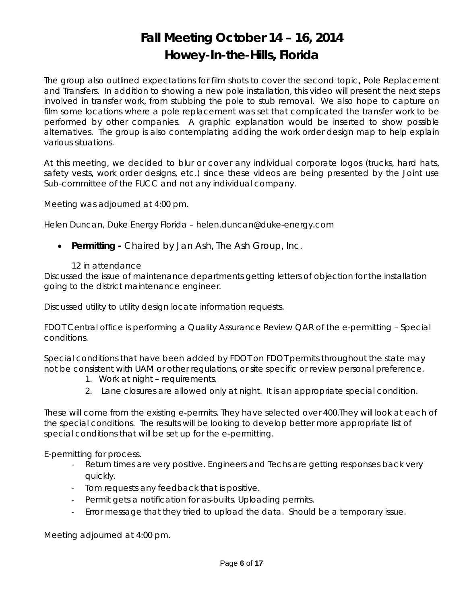The group also outlined expectations for film shots to cover the second topic, Pole Replacement and Transfers. In addition to showing a new pole installation, this video will present the next steps involved in transfer work, from stubbing the pole to stub removal. We also hope to capture on film some locations where a pole replacement was set that complicated the transfer work to be performed by other companies. A graphic explanation would be inserted to show possible alternatives. The group is also contemplating adding the work order design map to help explain various situations.

At this meeting, we decided to blur or cover any individual corporate logos (trucks, hard hats, safety vests, work order designs, etc.) since these videos are being presented by the Joint use Sub-committee of the FUCC and not any individual company.

Meeting was adjourned at 4:00 pm.

*Helen Duncan, Duke Energy Florida – helen.duncan@duke-energy.com* 

- **Permitting** *Chaired by Jan Ash, The Ash Group, Inc.*
	- 12 in attendance

Discussed the issue of maintenance departments getting letters of objection for the installation going to the district maintenance engineer.

Discussed utility to utility design locate information requests.

FDOT Central office is performing a Quality Assurance Review QAR of the e-permitting – Special conditions.

Special conditions that have been added by FDOT on FDOT permits throughout the state may not be consistent with UAM or other regulations, or site specific or review personal preference.

- 1. Work at night requirements.
- 2. Lane closures are allowed only at night. It is an appropriate special condition.

These will come from the existing e-permits. They have selected over 400.They will look at each of the special conditions. The results will be looking to develop better more appropriate list of special conditions that will be set up for the e-permitting.

E-permitting for process.

- ‐ Return times are very positive. Engineers and Techs are getting responses back very quickly.
- ‐ Tom requests any feedback that is positive.
- ‐ Permit gets a notification for as-builts. Uploading permits.
- ‐ Error message that they tried to upload the data. Should be a temporary issue.

Meeting adjourned at 4:00 pm.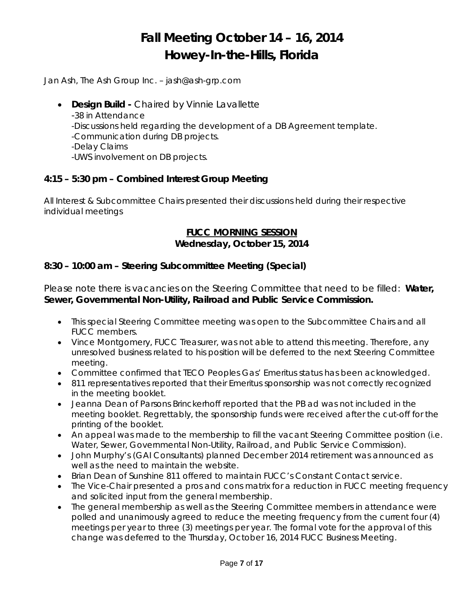*Jan Ash, The Ash Group Inc. – jash@ash-grp.com* 

- **Design Build** *Chaired by Vinnie Lavallette*
	- *-*38 in Attendance
	- -Discussions held regarding the development of a DB Agreement template.
	- -Communication during DB projects.
	- -Delay Claims
	- -UWS involvement on DB projects.

## **4:15 – 5:30 pm – Combined Interest Group Meeting**

All Interest & Subcommittee Chairs presented their discussions held during their respective individual meetings

### **FUCC MORNING SESSION Wednesday, October 15, 2014**

## **8:30 – 10:00 am – Steering Subcommittee Meeting (Special)**

Please note there is vacancies on the Steering Committee that need to be filled: **Water, Sewer, Governmental Non-Utility, Railroad and Public Service Commission.** 

- This special Steering Committee meeting was open to the Subcommittee Chairs and all FUCC members.
- Vince Montgomery, FUCC Treasurer, was not able to attend this meeting. Therefore, any unresolved business related to his position will be deferred to the next Steering Committee meeting.
- Committee confirmed that TECO Peoples Gas' Emeritus status has been acknowledged.
- 811 representatives reported that their Emeritus sponsorship was not correctly recognized in the meeting booklet.
- Jeanna Dean of Parsons Brinckerhoff reported that the PB ad was not included in the meeting booklet. Regrettably, the sponsorship funds were received after the cut-off for the printing of the booklet.
- An appeal was made to the membership to fill the vacant Steering Committee position (i.e. Water, Sewer, Governmental Non-Utility, Railroad, and Public Service Commission).
- John Murphy's (GAI Consultants) planned December 2014 retirement was announced as well as the need to maintain the website.
- Brian Dean of Sunshine 811 offered to maintain FUCC's Constant Contact service.
- The Vice-Chair presented a pros and cons matrix for a reduction in FUCC meeting frequency and solicited input from the general membership.
- The general membership as well as the Steering Committee members in attendance were polled and unanimously agreed to reduce the meeting frequency from the current four (4) meetings per year to three (3) meetings per year. The formal vote for the approval of this change was deferred to the Thursday, October 16, 2014 FUCC Business Meeting.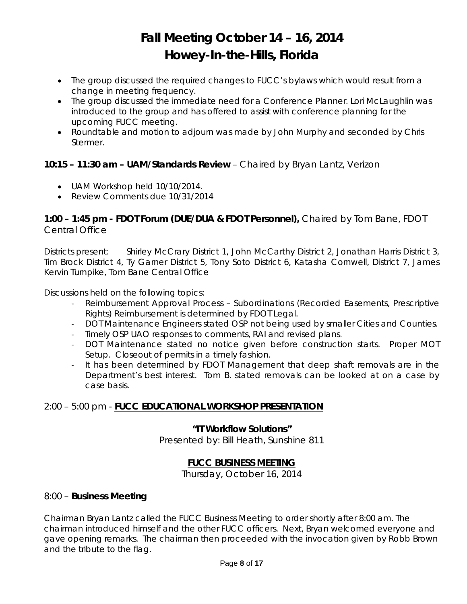- The group discussed the required changes to FUCC's bylaws which would result from a change in meeting frequency.
- The group discussed the immediate need for a Conference Planner. Lori McLaughlin was introduced to the group and has offered to assist with conference planning for the upcoming FUCC meeting.
- Roundtable and motion to adjourn was made by John Murphy and seconded by Chris Stermer.

## **10:15 – 11:30 am – UAM/Standards Review** – Chaired by Bryan Lantz, Verizon

- UAM Workshop held 10/10/2014.
- Review Comments due 10/31/2014

## **1:00 – 1:45 pm - FDOT Forum (DUE/DUA & FDOT Personnel),** *Chaired by Tom Bane, FDOT Central Office*

Districts present: Shirley McCrary District 1, John McCarthy District 2, Jonathan Harris District 3, Tim Brock District 4, Ty Garner District 5, Tony Soto District 6, Katasha Cornwell, District 7, James Kervin Turnpike, Tom Bane Central Office

Discussions held on the following topics:

- ‐ Reimbursement Approval Process Subordinations (Recorded Easements, Prescriptive Rights) Reimbursement is determined by FDOT Legal.
- ‐ DOT Maintenance Engineers stated OSP not being used by smaller Cities and Counties.
- ‐ Timely OSP UAO responses to comments, RAI and revised plans.
- ‐ DOT Maintenance stated no notice given before construction starts. Proper MOT Setup. Closeout of permits in a timely fashion.
- ‐ It has been determined by FDOT Management that deep shaft removals are in the Department's best interest. Tom B. stated removals can be looked at on a case by case basis.

## 2:00 – 5:00 pm - **FUCC EDUCATIONAL WORKSHOP PRESENTATION**

## **"IT Workflow Solutions"**

Presented by: Bill Heath, Sunshine 811

## **FUCC BUSINESS MEETING**

Thursday, October 16, 2014

## 8:00 – **Business Meeting**

Chairman Bryan Lantz called the FUCC Business Meeting to order shortly after 8:00 am. The chairman introduced himself and the other FUCC officers. Next, Bryan welcomed everyone and gave opening remarks. The chairman then proceeded with the invocation given by Robb Brown and the tribute to the flag.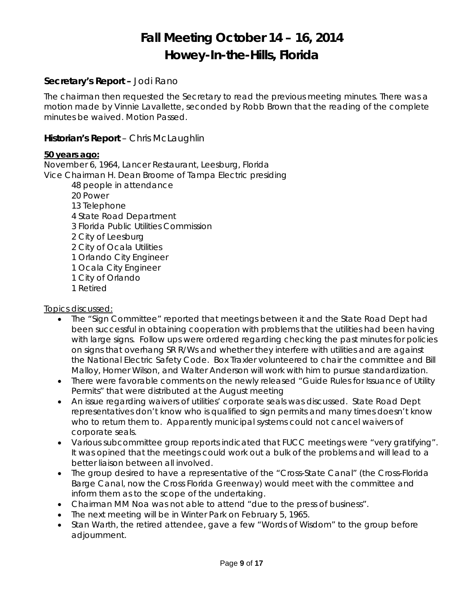### **Secretary's Report –** Jodi Rano

The chairman then requested the Secretary to read the previous meeting minutes. There was a motion made by Vinnie Lavallette, seconded by Robb Brown that the reading of the complete minutes be waived. Motion Passed.

### **Historian's Report** – Chris McLaughlin

#### *50 years ago:*

November 6, 1964, Lancer Restaurant, Leesburg, Florida Vice Chairman H. Dean Broome of Tampa Electric presiding

- 48 people in attendance
- 20 Power
- 13 Telephone
- 4 State Road Department
- 3 Florida Public Utilities Commission
- 2 City of Leesburg
- 2 City of Ocala Utilities
- 1 Orlando City Engineer
- 1 Ocala City Engineer
- 1 City of Orlando
- 1 Retired

### Topics discussed:

- The "Sign Committee" reported that meetings between it and the State Road Dept had been successful in obtaining cooperation with problems that the utilities had been having with large signs. Follow ups were ordered regarding checking the past minutes for policies on signs that overhang SR R/Ws and whether they interfere with utilities and are against the National Electric Safety Code. Box Traxler volunteered to chair the committee and Bill Malloy, Homer Wilson, and Walter Anderson will work with him to pursue standardization.
- There were favorable comments on the newly released "Guide Rules for Issuance of Utility Permits" that were distributed at the August meeting
- An issue regarding waivers of utilities' corporate seals was discussed. State Road Dept representatives don't know who is qualified to sign permits and many times doesn't know who to return them to. Apparently municipal systems could not cancel waivers of corporate seals.
- Various subcommittee group reports indicated that FUCC meetings were "very gratifying". It was opined that the meetings could work out a bulk of the problems and will lead to a better liaison between all involved.
- The group desired to have a representative of the "Cross-State Canal" (the Cross-Florida Barge Canal, now the Cross Florida Greenway) would meet with the committee and inform them as to the scope of the undertaking.
- Chairman MM Noa was not able to attend "due to the press of business".
- The next meeting will be in Winter Park on February 5, 1965.
- Stan Warth, the retired attendee, gave a few "Words of Wisdom" to the group before adjournment.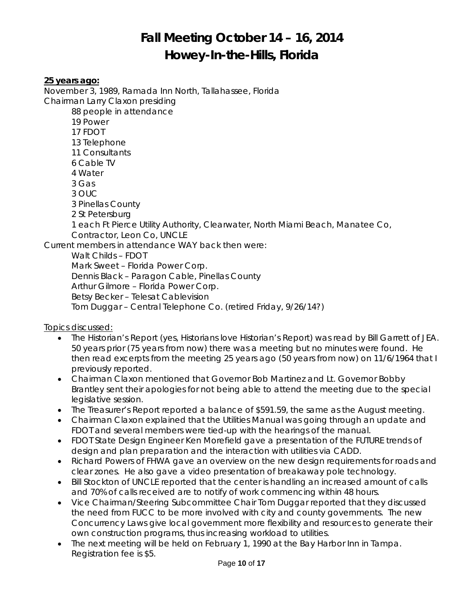*25 years ago:* 

*November 3, 1989, Ramada Inn North, Tallahassee, Florida Chairman Larry Claxon presiding 88 people in attendance 19 Power 17 FDOT 13 Telephone 11 Consultants 6 Cable TV 4 Water 3 Gas 3 OUC 3 Pinellas County 2 St Petersburg 1 each Ft Pierce Utility Authority, Clearwater, North Miami Beach, Manatee Co, Contractor, Leon Co, UNCLE Current members in attendance WAY back then were: Walt Childs – FDOT Mark Sweet – Florida Power Corp. Dennis Black – Paragon Cable, Pinellas County Arthur Gilmore – Florida Power Corp. Betsy Becker – Telesat Cablevision Tom Duggar – Central Telephone Co. (retired Friday, 9/26/14?)* 

### *Topics discussed:*

- *The Historian's Report (yes, Historians love Historian's Report) was read by Bill Garrett of JEA. 50 years prior (75 years from now) there was a meeting but no minutes were found. He then read excerpts from the meeting 25 years ago (50 years from now) on 11/6/1964 that I previously reported.*
- *Chairman Claxon mentioned that Governor Bob Martinez and Lt. Governor Bobby Brantley sent their apologies for not being able to attend the meeting due to the special legislative session.*
- *The Treasurer's Report reported a balance of \$591.59, the same as the August meeting.*
- *Chairman Claxon explained that the Utilities Manual was going through an update and FDOT and several members were tied-up with the hearings of the manual.*
- FDOT State Design Engineer Ken Morefield gave a presentation of the FUTURE trends of *design and plan preparation and the interaction with utilities via CADD.*
- *Richard Powers of FHWA gave an overview on the new design requirements for roads and clear zones. He also gave a video presentation of breakaway pole technology.*
- **•** Bill Stockton of UNCLE reported that the center is handling an increased amount of calls *and 70% of calls received are to notify of work commencing within 48 hours.*
- *Vice Chairman/Steering Subcommittee Chair Tom Duggar reported that they discussed the need from FUCC to be more involved with city and county governments. The new Concurrency Laws give local government more flexibility and resources to generate their own construction programs, thus increasing workload to utilities.*
- *The next meeting will be held on February 1, 1990 at the Bay Harbor Inn in Tampa. Registration fee is \$5.*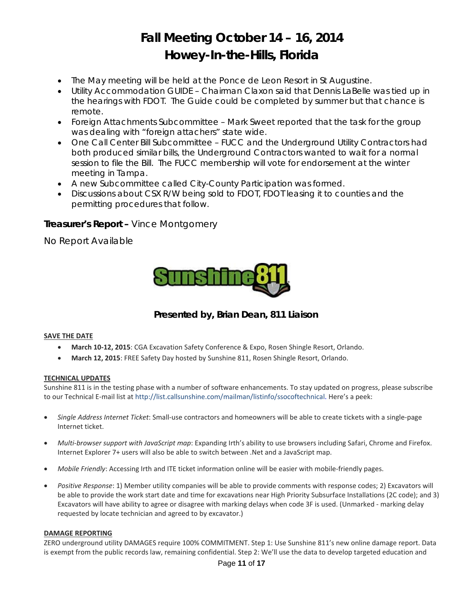- *The May meeting will be held at the Ponce de Leon Resort in St Augustine.*
- *Utility Accommodation GUIDE Chairman Claxon said that Dennis LaBelle was tied up in the hearings with FDOT. The Guide could be completed by summer but that chance is remote.*
- *Foreign Attachments Subcommittee Mark Sweet reported that the task for the group was dealing with "foreign attachers" state wide.*
- *One Call Center Bill Subcommittee FUCC and the Underground Utility Contractors had*  both produced similar bills, the Underground Contractors wanted to wait for a normal session to file the Bill. The FUCC membership will vote for endorsement at the winter *meeting in Tampa.*
- *A new Subcommittee called City-County Participation was formed.*
- *Discussions about CSX R/W being sold to FDOT, FDOT leasing it to counties and the permitting procedures that follow.*

## **Treasurer's Report –** Vince Montgomery

No Report Available



**Presented by, Brian Dean, 811 Liaison** 

#### **SAVE THE DATE**

- **March 10‐12, 2015**: CGA Excavation Safety Conference & Expo, Rosen Shingle Resort, Orlando.
- **March 12, 2015**: FREE Safety Day hosted by Sunshine 811, Rosen Shingle Resort, Orlando.

#### **TECHNICAL UPDATES**

Sunshine 811 is in the testing phase with a number of software enhancements. To stay updated on progress, please subscribe to our Technical E‐mail list at http://list.callsunshine.com/mailman/listinfo/ssocoftechnical. Here's a peek:

- *Single Address Internet Ticket*: Small‐use contractors and homeowners will be able to create tickets with a single‐page Internet ticket.
- *Multi‐browser support with JavaScript map*: Expanding Irth's ability to use browsers including Safari, Chrome and Firefox. Internet Explorer 7+ users will also be able to switch between .Net and a JavaScript map.
- *Mobile Friendly*: Accessing Irth and ITE ticket information online will be easier with mobile‐friendly pages.
- *Positive Response*: 1) Member utility companies will be able to provide comments with response codes; 2) Excavators will be able to provide the work start date and time for excavations near High Priority Subsurface Installations (2C code); and 3) Excavators will have ability to agree or disagree with marking delays when code 3F is used. (Unmarked ‐ marking delay requested by locate technician and agreed to by excavator.)

#### **DAMAGE REPORTING**

ZERO underground utility DAMAGES require 100% COMMITMENT. Step 1: Use Sunshine 811's new online damage report. Data is exempt from the public records law, remaining confidential. Step 2: We'll use the data to develop targeted education and

#### Page **11** of **17**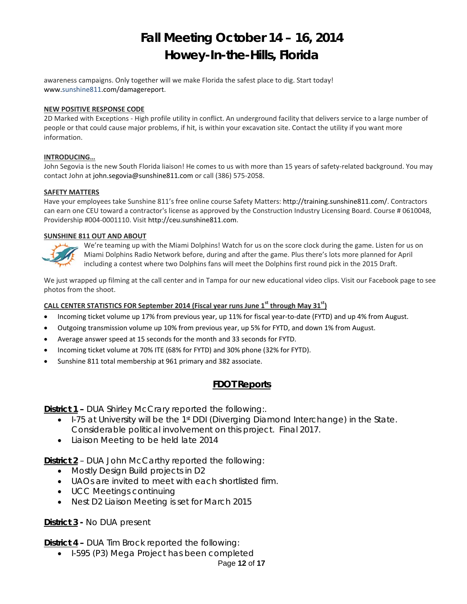awareness campaigns. Only together will we make Florida the safest place to dig. Start today! www.sunshine811.com/damagereport.

#### **NEW POSITIVE RESPONSE CODE**

2D Marked with Exceptions ‐ High profile utility in conflict. An underground facility that delivers service to a large number of people or that could cause major problems, if hit, is within your excavation site. Contact the utility if you want more information.

#### **INTRODUCING…**

John Segovia is the new South Florida liaison! He comes to us with more than 15 years of safety-related background. You may contact John at john.segovia@sunshine811.com or call (386) 575‐2058.

#### **SAFETY MATTERS**

Have your employees take Sunshine 811's free online course Safety Matters: http://training.sunshine811.com/. Contractors can earn one CEU toward a contractor's license as approved by the Construction Industry Licensing Board. Course # 0610048, Providership #004‐0001110. Visit http://ceu.sunshine811.com.

#### **SUNSHINE 811 OUT AND ABOUT**



We're teaming up with the Miami Dolphins! Watch for us on the score clock during the game. Listen for us on Miami Dolphins Radio Network before, during and after the game. Plus there's lots more planned for April including a contest where two Dolphins fans will meet the Dolphins first round pick in the 2015 Draft.

We just wrapped up filming at the call center and in Tampa for our new educational video clips. Visit our Facebook page to see photos from the shoot.

#### **CALL CENTER STATISTICS FOR September 2014 (Fiscal year runs June 1st through May 31st)**

- Incoming ticket volume up 17% from previous year, up 11% for fiscal year-to-date (FYTD) and up 4% from August.
- Outgoing transmission volume up 10% from previous year, up 5% for FYTD, and down 1% from August.
- Average answer speed at 15 seconds for the month and 33 seconds for FYTD.
- Incoming ticket volume at 70% ITE (68% for FYTD) and 30% phone (32% for FYTD).
- Sunshine 811 total membership at 961 primary and 382 associate.

## **FDOT Reports**

**District 1 –** DUA Shirley McCrary reported the following:.

- $\bullet$  I-75 at University will be the 1<sup>st</sup> DDI (Diverging Diamond Interchange) in the State. Considerable political involvement on this project. Final 2017.
- Liaison Meeting to be held late 2014

**District 2** – DUA John McCarthy reported the following:

- Mostly Design Build projects in D2
- UAOs are invited to meet with each shortlisted firm.
- UCC Meetings continuing
- Nest D2 Liaison Meeting is set for March 2015

### **District 3 -** No DUA present

**District 4 –** DUA Tim Brock reported the following:

• I-595 (P3) Mega Project has been completed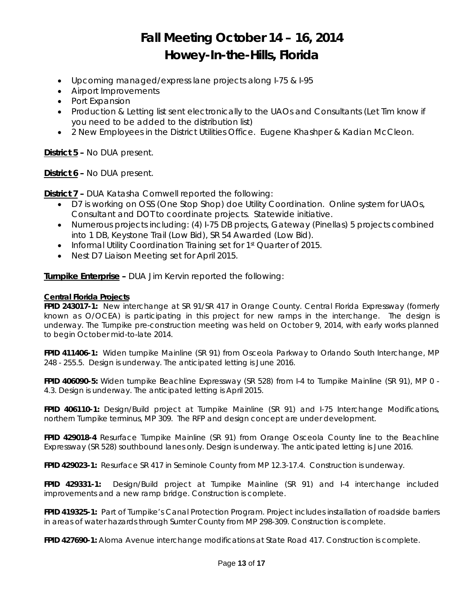- Upcoming managed/express lane projects along I-75 & I-95
- Airport Improvements
- Port Expansion
- Production & Letting list sent electronically to the UAOs and Consultants (Let Tim know if you need to be added to the distribution list)
- 2 New Employees in the District Utilities Office. Eugene Khashper & Kadian McCleon.

**District 5 –** No DUA present.

**District 6 –** No DUA present.

**District 7 –** DUA Katasha Cornwell reported the following:

- D7 is working on OSS (One Stop Shop) doe Utility Coordination. Online system for UAOs, Consultant and DOT to coordinate projects. Statewide initiative.
- Numerous projects including: (4) I-75 DB projects, Gateway (Pinellas) 5 projects combined into 1 DB, Keystone Trail (Low Bid), SR 54 Awarded (Low Bid).
- Informal Utility Coordination Training set for 1<sup>st</sup> Quarter of 2015.
- Nest D7 Liaison Meeting set for April 2015.

**Turnpike Enterprise –** DUA Jim Kervin reported the following:

#### **Central Florida Projects**

**FPID 243017-1:** New interchange at SR 91/SR 417 in Orange County. Central Florida Expressway (formerly known as O/OCEA) is participating in this project for new ramps in the interchange. The design is underway. The Turnpike pre-construction meeting was held on October 9, 2014, with early works planned to begin October mid-to-late 2014.

**FPID 411406-1:** Widen turnpike Mainline (SR 91) from Osceola Parkway to Orlando South Interchange, MP 248 - 255.5. Design is underway. The anticipated letting is June 2016.

**FPID 406090-5:** Widen turnpike Beachline Expressway (SR 528) from I-4 to Turnpike Mainline (SR 91), MP 0 - 4.3. Design is underway. The anticipated letting is April 2015.

**FPID 406110-1:** Design/Build project at Turnpike Mainline (SR 91) and I-75 Interchange Modifications, northern Turnpike terminus, MP 309. The RFP and design concept are under development.

**FPID 429018-4** Resurface Turnpike Mainline (SR 91) from Orange Osceola County line to the Beachline Expressway (SR 528) southbound lanes only. Design is underway. The anticipated letting is June 2016.

**FPID 429023-1:** Resurface SR 417 in Seminole County from MP 12.3-17.4. Construction is underway.

**FPID 429331-1:** Design/Build project at Turnpike Mainline (SR 91) and I-4 interchange included improvements and a new ramp bridge. Construction is complete.

**FPID 419325-1:** Part of Turnpike's Canal Protection Program. Project includes installation of roadside barriers in areas of water hazards through Sumter County from MP 298-309. Construction is complete.

**FPID 427690-1:** Aloma Avenue interchange modifications at State Road 417. Construction is complete.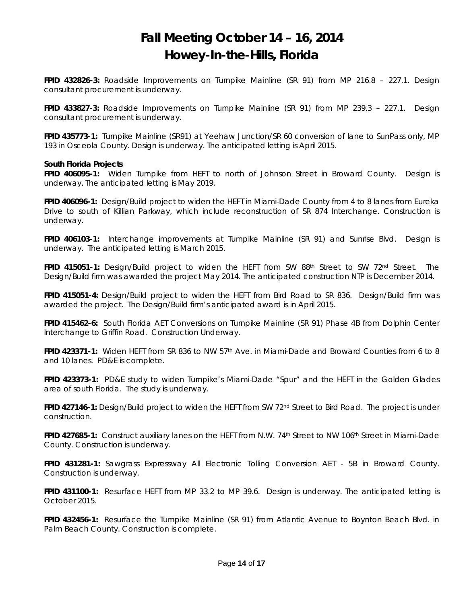**FPID 432826-3:** Roadside Improvements on Turnpike Mainline (SR 91) from MP 216.8 – 227.1. Design consultant procurement is underway.

**FPID 433827-3:** Roadside Improvements on Turnpike Mainline (SR 91) from MP 239.3 – 227.1. Design consultant procurement is underway.

**FPID 435773-1:** Turnpike Mainline (SR91) at Yeehaw Junction/SR 60 conversion of lane to SunPass only, MP 193 in Osceola County. Design is underway. The anticipated letting is April 2015.

#### **South Florida Projects**

**FPID 406095-1:** Widen Turnpike from HEFT to north of Johnson Street in Broward County. Design is underway. The anticipated letting is May 2019.

**FPID 406096-1:** Design/Build project to widen the HEFT in Miami-Dade County from 4 to 8 lanes from Eureka Drive to south of Killian Parkway, which include reconstruction of SR 874 Interchange. Construction is underway.

**FPID 406103-1:** Interchange improvements at Turnpike Mainline (SR 91) and Sunrise Blvd. Design is underway. The anticipated letting is March 2015.

**FPID 415051-1:** Design/Build project to widen the HEFT from SW 88<sup>th</sup> Street to SW 72<sup>nd</sup> Street. The Design/Build firm was awarded the project May 2014. The anticipated construction NTP is December 2014.

**FPID 415051-4:** Design/Build project to widen the HEFT from Bird Road to SR 836. Design/Build firm was awarded the project. The Design/Build firm's anticipated award is in April 2015.

**FPID 415462-6:** South Florida AET Conversions on Turnpike Mainline (SR 91) Phase 4B from Dolphin Center Interchange to Griffin Road. Construction Underway.

**FPID 423371-1:** Widen HEFT from SR 836 to NW 57th Ave. in Miami-Dade and Broward Counties from 6 to 8 and 10 lanes. PD&E is complete.

**FPID 423373-1:** PD&E study to widen Turnpike's Miami-Dade "Spur" and the HEFT in the Golden Glades area of south Florida. The study is underway.

**FPID 427146-1:** Design/Build project to widen the HEFT from SW 72nd Street to Bird Road. The project is under construction.

**FPID 427685-1:** Construct auxiliary lanes on the HEFT from N.W. 74th Street to NW 106th Street in Miami-Dade County. Construction is underway.

**FPID 431281-1:** Sawgrass Expressway All Electronic Tolling Conversion AET - 5B in Broward County. Construction is underway.

**FPID 431100-1:** Resurface HEFT from MP 33.2 to MP 39.6. Design is underway. The anticipated letting is October 2015.

**FPID 432456-1:** Resurface the Turnpike Mainline (SR 91) from Atlantic Avenue to Boynton Beach Blvd. in Palm Beach County. Construction is complete.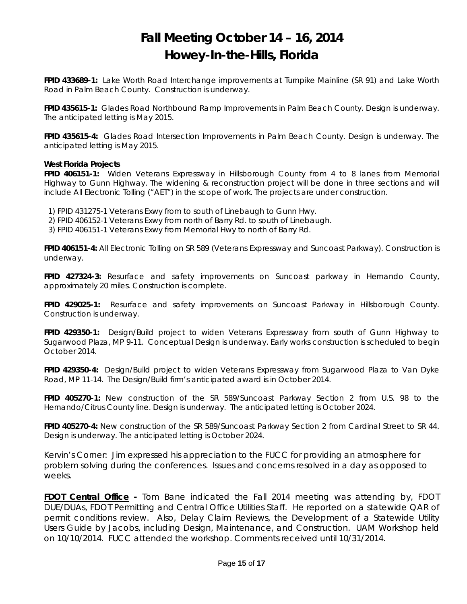**FPID 433689-1:** Lake Worth Road Interchange improvements at Turnpike Mainline (SR 91) and Lake Worth Road in Palm Beach County. Construction is underway.

**FPID 435615-1:** Glades Road Northbound Ramp Improvements in Palm Beach County. Design is underway. The anticipated letting is May 2015.

**FPID 435615-4:** Glades Road Intersection Improvements in Palm Beach County. Design is underway. The anticipated letting is May 2015.

#### **West Florida Projects**

**FPID 406151-1:** Widen Veterans Expressway in Hillsborough County from 4 to 8 lanes from Memorial Highway to Gunn Highway. The widening & reconstruction project will be done in three sections and will include All Electronic Tolling ("AET") in the scope of work. The projects are under construction.

1) FPID 431275-1 Veterans Exwy from to south of Linebaugh to Gunn Hwy.

2) FPID 406152-1 Veterans Exwy from north of Barry Rd. to south of Linebaugh.

3) FPID 406151-1 Veterans Exwy from Memorial Hwy to north of Barry Rd.

**FPID 406151-4:** All Electronic Tolling on SR 589 (Veterans Expressway and Suncoast Parkway). Construction is underway.

**FPID 427324-3:** Resurface and safety improvements on Suncoast parkway in Hernando County, approximately 20 miles. Construction is complete.

**FPID 429025-1:** Resurface and safety improvements on Suncoast Parkway in Hillsborough County. Construction is underway.

**FPID 429350-1:** Design/Build project to widen Veterans Expressway from south of Gunn Highway to Sugarwood Plaza, MP 9-11. Conceptual Design is underway. Early works construction is scheduled to begin October 2014.

**FPID 429350-4:** Design/Build project to widen Veterans Expressway from Sugarwood Plaza to Van Dyke Road, MP 11-14. The Design/Build firm's anticipated award is in October 2014.

**FPID 405270-1:** New construction of the SR 589/Suncoast Parkway Section 2 from U.S. 98 to the Hernando/Citrus County line. Design is underway. The anticipated letting is October 2024.

**FPID 405270-4:** New construction of the SR 589/Suncoast Parkway Section 2 from Cardinal Street to SR 44. Design is underway. The anticipated letting is October 2024.

*Kervin's Corner: Jim expressed his appreciation to the FUCC for providing an atmosphere for problem solving during the conferences. Issues and concerns resolved in a day as opposed to weeks*.

**FDOT Central Office -** Tom Bane indicated the Fall 2014 meeting was attending by, FDOT DUE/DUAs, FDOT Permitting and Central Office Utilities Staff. He reported on a statewide QAR of permit conditions review. Also, Delay Claim Reviews, the Development of a Statewide Utility Users Guide by Jacobs, including Design, Maintenance, and Construction. UAM Workshop held on 10/10/2014. FUCC attended the workshop. Comments received until 10/31/2014.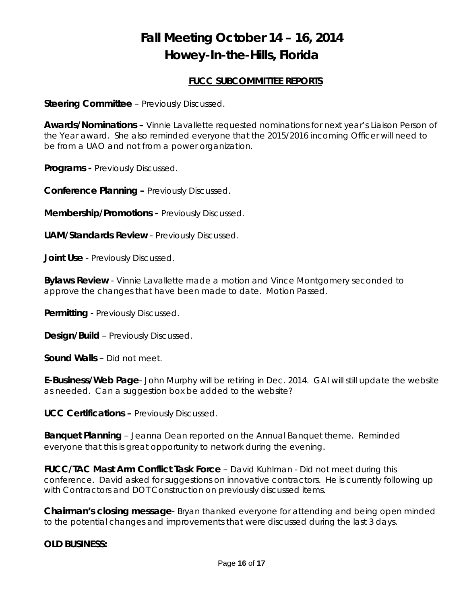## **FUCC SUBCOMMITTEE REPORTS**

**Steering Committee** – Previously Discussed.

**Awards/Nominations –** Vinnie Lavallette requested nominations for next year's Liaison Person of the Year award. She also reminded everyone that the 2015/2016 incoming Officer will need to be from a UAO and not from a power organization.

**Programs -** Previously Discussed.

**Conference Planning –** Previously Discussed.

**Membership/Promotions -** Previously Discussed.

**UAM/Standards Review** - Previously Discussed.

**Joint Use** - Previously Discussed.

**Bylaws Review** - Vinnie Lavallette made a motion and Vince Montgomery seconded to approve the changes that have been made to date. Motion Passed.

**Permitting** - Previously Discussed.

**Design/Build** – Previously Discussed.

**Sound Walls** – Did not meet.

**E-Business/Web Page**- John Murphy will be retiring in Dec. 2014. GAI will still update the website as needed. Can a suggestion box be added to the website?

**UCC Certifications –** Previously Discussed.

**Banquet Planning** – Jeanna Dean reported on the Annual Banquet theme. Reminded everyone that this is great opportunity to network during the evening.

**FUCC/TAC Mast Arm Conflict Task Force** – David Kuhlman - Did not meet during this conference. David asked for suggestions on innovative contractors. He is currently following up with Contractors and DOT Construction on previously discussed items.

**Chairman's closing message**- Bryan thanked everyone for attending and being open minded to the potential changes and improvements that were discussed during the last 3 days.

### **OLD BUSINESS:**